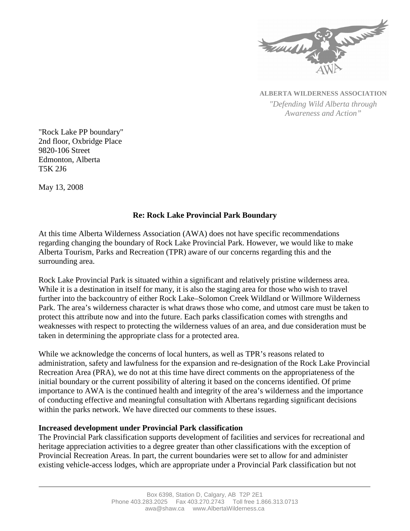

**ALBERTA WILDERNESS ASSOCIATION** *"Defending Wild Alberta through Awareness and Action"*

"Rock Lake PP boundary" 2nd floor, Oxbridge Place 9820-106 Street Edmonton, Alberta T5K 2J6

May 13, 2008

## **Re: Rock Lake Provincial Park Boundary**

At this time Alberta Wilderness Association (AWA) does not have specific recommendations regarding changing the boundary of Rock Lake Provincial Park. However, we would like to make Alberta Tourism, Parks and Recreation (TPR) aware of our concerns regarding this and the surrounding area.

Rock Lake Provincial Park is situated within a significant and relatively pristine wilderness area. While it is a destination in itself for many, it is also the staging area for those who wish to travel further into the backcountry of either Rock Lake–Solomon Creek Wildland or Willmore Wilderness Park. The area's wilderness character is what draws those who come, and utmost care must be taken to protect this attribute now and into the future. Each parks classification comes with strengths and weaknesses with respect to protecting the wilderness values of an area, and due consideration must be taken in determining the appropriate class for a protected area.

While we acknowledge the concerns of local hunters, as well as TPR's reasons related to administration, safety and lawfulness for the expansion and re-designation of the Rock Lake Provincial Recreation Area (PRA), we do not at this time have direct comments on the appropriateness of the initial boundary or the current possibility of altering it based on the concerns identified. Of prime importance to AWA is the continued health and integrity of the area's wilderness and the importance of conducting effective and meaningful consultation with Albertans regarding significant decisions within the parks network. We have directed our comments to these issues.

## **Increased development under Provincial Park classification**

The Provincial Park classification supports development of facilities and services for recreational and heritage appreciation activities to a degree greater than other classifications with the exception of Provincial Recreation Areas. In part, the current boundaries were set to allow for and administer existing vehicle-access lodges, which are appropriate under a Provincial Park classification but not